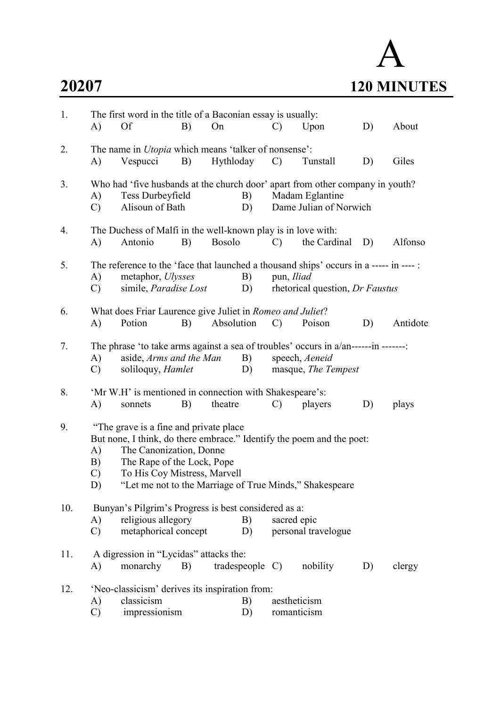# A 20207 120 MINUTES

| 1.  | A)                                                                                                                                                                                                                                                                                           | The first word in the title of a Baconian essay is usually:<br>Of                                  | B) | On            |                  | $\mathcal{C}$               | Upon                                                                                                                         | D) | About    |
|-----|----------------------------------------------------------------------------------------------------------------------------------------------------------------------------------------------------------------------------------------------------------------------------------------------|----------------------------------------------------------------------------------------------------|----|---------------|------------------|-----------------------------|------------------------------------------------------------------------------------------------------------------------------|----|----------|
| 2.  | A)                                                                                                                                                                                                                                                                                           | The name in <i>Utopia</i> which means 'talker of nonsense':<br>Vespucci                            | B) | Hythloday     |                  | $\mathcal{C}$               | Tunstall                                                                                                                     | D) | Giles    |
| 3.  | A)<br>C)                                                                                                                                                                                                                                                                                     | Tess Durbeyfield<br>Alisoun of Bath                                                                |    |               | B)<br>D)         |                             | Who had 'five husbands at the church door' apart from other company in youth?<br>Madam Eglantine<br>Dame Julian of Norwich   |    |          |
| 4.  | A)                                                                                                                                                                                                                                                                                           | The Duchess of Malfi in the well-known play is in love with:<br>Antonio                            | B) | <b>Bosolo</b> |                  | $\mathcal{C}$               | the Cardinal D)                                                                                                              |    | Alfonso  |
| 5.  | A)<br>$\mathbf{C}$ )                                                                                                                                                                                                                                                                         | metaphor, <i>Ulysses</i><br>simile, <i>Paradise Lost</i>                                           |    |               | B)<br>D)         | pun, Iliad                  | The reference to the 'face that launched a thousand ships' occurs in a ----- in ---- :<br>rhetorical question, Dr Faustus    |    |          |
| 6.  | A)                                                                                                                                                                                                                                                                                           | What does Friar Laurence give Juliet in Romeo and Juliet?<br>Potion                                | B) | Absolution    |                  | $\mathcal{C}$               | Poison                                                                                                                       | D) | Antidote |
| 7.  | A)<br>$\mathcal{C}$                                                                                                                                                                                                                                                                          | aside, Arms and the Man<br>soliloquy, <i>Hamlet</i>                                                |    |               | B)<br>D)         |                             | The phrase 'to take arms against a sea of troubles' occurs in a/an-------in -------<br>speech, Aeneid<br>masque, The Tempest |    |          |
| 8.  | A)                                                                                                                                                                                                                                                                                           | 'Mr W.H' is mentioned in connection with Shakespeare's:<br>sonnets                                 | B) | theatre       |                  | $\mathcal{C}$               | players                                                                                                                      | D) | plays    |
| 9.  | "The grave is a fine and private place"<br>But none, I think, do there embrace." Identify the poem and the poet:<br>The Canonization, Donne<br>A)<br>The Rape of the Lock, Pope<br>B)<br>To His Coy Mistress, Marvell<br>C)<br>"Let me not to the Marriage of True Minds," Shakespeare<br>D) |                                                                                                    |    |               |                  |                             |                                                                                                                              |    |          |
| 10. | A)<br>$\mathbf{C}$                                                                                                                                                                                                                                                                           | Bunyan's Pilgrim's Progress is best considered as a:<br>religious allegory<br>metaphorical concept |    |               | B)<br>D)         | sacred epic                 | personal travelogue                                                                                                          |    |          |
| 11. | A)                                                                                                                                                                                                                                                                                           | A digression in "Lycidas" attacks the:<br>monarchy                                                 | B) |               | trades people C) |                             | nobility                                                                                                                     | D) | clergy   |
| 12. | A)<br>$\mathcal{C}$                                                                                                                                                                                                                                                                          | 'Neo-classicism' derives its inspiration from:<br>classicism<br>impressionism                      |    |               | B)<br>D)         | aestheticism<br>romanticism |                                                                                                                              |    |          |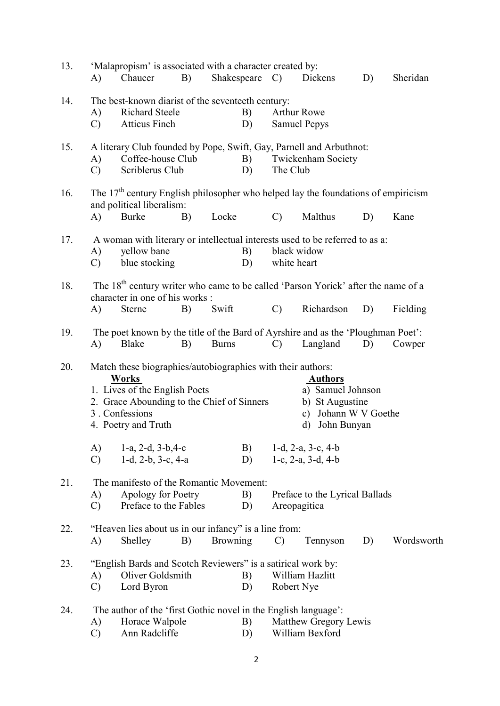| 13. | A)                                                                                                                                                    | 'Malapropism' is associated with a character created by:<br>Chaucer                                                                                                                                                                  | B) | Shakespeare C) |               |               | Dickens                                                                                                                              | D)   | Sheridan   |
|-----|-------------------------------------------------------------------------------------------------------------------------------------------------------|--------------------------------------------------------------------------------------------------------------------------------------------------------------------------------------------------------------------------------------|----|----------------|---------------|---------------|--------------------------------------------------------------------------------------------------------------------------------------|------|------------|
| 14. | A)<br>$\mathcal{C}$                                                                                                                                   | The best-known diarist of the seventeeth century:<br><b>Richard Steele</b><br><b>Atticus Finch</b>                                                                                                                                   |    |                | B)<br>D)      |               | Arthur Rowe<br><b>Samuel Pepys</b>                                                                                                   |      |            |
| 15. | A)<br>$\mathcal{C}$                                                                                                                                   | A literary Club founded by Pope, Swift, Gay, Parnell and Arbuthnot:<br>Coffee-house Club<br>Scriblerus Club                                                                                                                          |    |                | B)<br>D)      | The Club      | <b>Twickenham Society</b>                                                                                                            |      |            |
| 16. | The $17th$ century English philosopher who helped lay the foundations of empiricism<br>and political liberalism:<br><b>Burke</b><br>A)<br>B)<br>Locke |                                                                                                                                                                                                                                      |    |                | $\mathcal{C}$ | Malthus       | D)                                                                                                                                   | Kane |            |
| 17. | A)<br>$\mathcal{C}$                                                                                                                                   | A woman with literary or intellectual interests used to be referred to as a:<br>yellow bane<br>blue stocking                                                                                                                         |    |                | B)<br>D)      | white heart   | black widow                                                                                                                          |      |            |
| 18. | A)                                                                                                                                                    | The 18 <sup>th</sup> century writer who came to be called 'Parson Yorick' after the name of a<br>character in one of his works :<br><b>Sterne</b>                                                                                    | B) | Swift          |               | $\mathcal{C}$ | Richardson                                                                                                                           | D)   | Fielding   |
| 19. | A)                                                                                                                                                    | The poet known by the title of the Bard of Ayrshire and as the 'Ploughman Poet':<br><b>Blake</b>                                                                                                                                     | B) | <b>Burns</b>   |               | $\mathcal{C}$ | Langland                                                                                                                             | D)   | Cowper     |
| 20. | A)                                                                                                                                                    | Match these biographies/autobiographies with their authors:<br><b>Works</b><br>1. Lives of the English Poets<br>2. Grace Abounding to the Chief of Sinners<br>3. Confessions<br>4. Poetry and Truth<br>$1-a$ , $2-d$ , $3-b$ , $4-c$ |    |                | B)            |               | <b>Authors</b><br>a) Samuel Johnson<br>b) St Augustine<br>c) Johann W V Goethe<br>John Bunyan<br>d)<br>$1-d$ , $2-a$ , $3-c$ , $4-b$ |      |            |
|     | $\mathcal{C}$                                                                                                                                         | $1-d$ , $2-b$ , $3-c$ , $4-a$                                                                                                                                                                                                        |    |                | D)            |               | 1-c, $2-a$ , $3-d$ , $4-b$                                                                                                           |      |            |
| 21. | A)<br>$\mathcal{C}$                                                                                                                                   | The manifesto of the Romantic Movement:<br>Apology for Poetry<br>Preface to the Fables                                                                                                                                               |    |                | B)<br>D)      |               | Preface to the Lyrical Ballads<br>Areopagitica                                                                                       |      |            |
| 22. | A)                                                                                                                                                    | "Heaven lies about us in our infancy" is a line from:<br>Shelley                                                                                                                                                                     | B) | Browning       |               | $\mathcal{C}$ | Tennyson                                                                                                                             | D)   | Wordsworth |
| 23. | A)<br>$\mathcal{C}$                                                                                                                                   | "English Bards and Scotch Reviewers" is a satirical work by:<br>Oliver Goldsmith<br>Lord Byron                                                                                                                                       |    |                | B)<br>D)      | Robert Nye    | William Hazlitt                                                                                                                      |      |            |
| 24. | A)<br>$\mathcal{C}$                                                                                                                                   | The author of the 'first Gothic novel in the English language':<br>Horace Walpole<br>Ann Radcliffe                                                                                                                                   |    |                | B)<br>D)      |               | Matthew Gregory Lewis<br>William Bexford                                                                                             |      |            |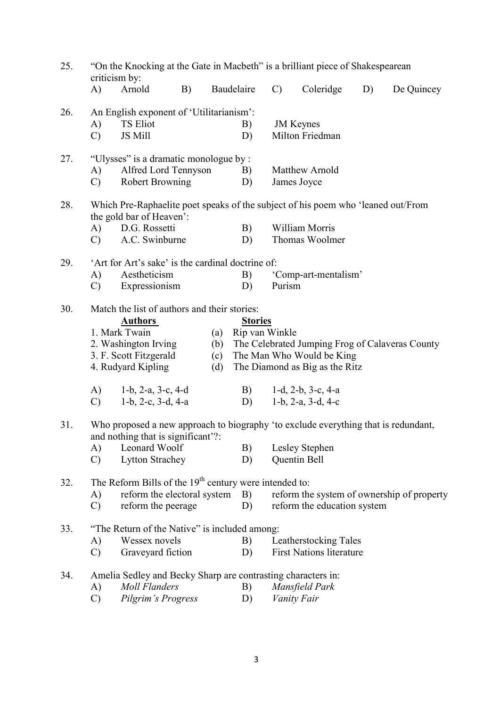| 25.<br>"On the Knocking at the Gate in Macbeth" is a brilliant piece of Shakespearean<br>criticism by: |                                                                                                                          |                                                                                                                                       |    |     |                |               |                                                                                  |    |                                            |  |  |
|--------------------------------------------------------------------------------------------------------|--------------------------------------------------------------------------------------------------------------------------|---------------------------------------------------------------------------------------------------------------------------------------|----|-----|----------------|---------------|----------------------------------------------------------------------------------|----|--------------------------------------------|--|--|
|                                                                                                        | $\bf{A}$                                                                                                                 | Arnold                                                                                                                                | B) |     | Baudelaire     | $\mathcal{C}$ | Coleridge                                                                        | D) | De Quincey                                 |  |  |
| 26.                                                                                                    |                                                                                                                          | An English exponent of 'Utilitarianism':                                                                                              |    |     |                |               |                                                                                  |    |                                            |  |  |
|                                                                                                        | A)                                                                                                                       | <b>TS Eliot</b>                                                                                                                       |    |     | B)             |               | <b>JM</b> Keynes                                                                 |    |                                            |  |  |
|                                                                                                        | $\mathcal{C}$                                                                                                            | JS Mill                                                                                                                               |    |     | D)             |               | Milton Friedman                                                                  |    |                                            |  |  |
| 27.                                                                                                    |                                                                                                                          | "Ulysses" is a dramatic monologue by :                                                                                                |    |     |                |               |                                                                                  |    |                                            |  |  |
|                                                                                                        | A)                                                                                                                       | Alfred Lord Tennyson                                                                                                                  |    |     | B)             |               | Matthew Arnold                                                                   |    |                                            |  |  |
|                                                                                                        | $\mathcal{C}$                                                                                                            | <b>Robert Browning</b>                                                                                                                |    |     | D)             |               | James Joyce                                                                      |    |                                            |  |  |
| 28.                                                                                                    |                                                                                                                          | the gold bar of Heaven':                                                                                                              |    |     |                |               | Which Pre-Raphaelite poet speaks of the subject of his poem who 'leaned out/From |    |                                            |  |  |
|                                                                                                        | $\bf{A}$                                                                                                                 | D.G. Rossetti                                                                                                                         |    |     | B)             |               | William Morris                                                                   |    |                                            |  |  |
|                                                                                                        | $\mathcal{C}$                                                                                                            | A.C. Swinburne                                                                                                                        |    |     | D)             |               | Thomas Woolmer                                                                   |    |                                            |  |  |
| 29.                                                                                                    |                                                                                                                          | 'Art for Art's sake' is the cardinal doctrine of:                                                                                     |    |     |                |               |                                                                                  |    |                                            |  |  |
|                                                                                                        | A)                                                                                                                       | Aestheticism                                                                                                                          |    |     | B)             |               | 'Comp-art-mentalism'                                                             |    |                                            |  |  |
|                                                                                                        | $\mathcal{C}$                                                                                                            | Expressionism                                                                                                                         |    |     | D)             | Purism        |                                                                                  |    |                                            |  |  |
| 30.                                                                                                    |                                                                                                                          | Match the list of authors and their stories:                                                                                          |    |     |                |               |                                                                                  |    |                                            |  |  |
|                                                                                                        |                                                                                                                          | <b>Authors</b>                                                                                                                        |    |     | <b>Stories</b> |               |                                                                                  |    |                                            |  |  |
|                                                                                                        |                                                                                                                          | 1. Mark Twain                                                                                                                         |    | (a) | Rip van Winkle |               |                                                                                  |    |                                            |  |  |
|                                                                                                        |                                                                                                                          | 2. Washington Irving<br>The Celebrated Jumping Frog of Calaveras County<br>(b)<br>3. F. Scott Fitzgerald<br>The Man Who Would be King |    |     |                |               |                                                                                  |    |                                            |  |  |
|                                                                                                        |                                                                                                                          |                                                                                                                                       |    | (c) |                |               |                                                                                  |    |                                            |  |  |
|                                                                                                        |                                                                                                                          | 4. Rudyard Kipling                                                                                                                    |    | (d) |                |               | The Diamond as Big as the Ritz                                                   |    |                                            |  |  |
|                                                                                                        | A)                                                                                                                       | $1-b$ , $2-a$ , $3-c$ , $4-d$                                                                                                         |    |     | B)             |               | 1-d, $2-b$ , $3-c$ , $4-a$                                                       |    |                                            |  |  |
|                                                                                                        | $\mathcal{C}$                                                                                                            | $1-b$ , $2-c$ , $3-d$ , $4-a$                                                                                                         |    |     | D)             |               | $1-b$ , $2-a$ , $3-d$ , $4-c$                                                    |    |                                            |  |  |
| 31.                                                                                                    | Who proposed a new approach to biography 'to exclude everything that is redundant,<br>and nothing that is significant'?: |                                                                                                                                       |    |     |                |               |                                                                                  |    |                                            |  |  |
|                                                                                                        | A)                                                                                                                       | Leonard Woolf                                                                                                                         |    |     | B)             |               | Lesley Stephen                                                                   |    |                                            |  |  |
|                                                                                                        | $\mathcal{C}$                                                                                                            | <b>Lytton Strachey</b>                                                                                                                |    |     | D)             |               | Quentin Bell                                                                     |    |                                            |  |  |
| 32.                                                                                                    |                                                                                                                          | The Reform Bills of the 19 <sup>th</sup> century were intended to:                                                                    |    |     |                |               |                                                                                  |    |                                            |  |  |
|                                                                                                        | A)                                                                                                                       | reform the electoral system                                                                                                           |    |     | B)             |               |                                                                                  |    | reform the system of ownership of property |  |  |
|                                                                                                        | $\mathcal{C}$                                                                                                            | reform the peerage                                                                                                                    |    |     | D)             |               | reform the education system                                                      |    |                                            |  |  |
| 33.                                                                                                    |                                                                                                                          | "The Return of the Native" is included among:                                                                                         |    |     |                |               |                                                                                  |    |                                            |  |  |
|                                                                                                        | A)                                                                                                                       | Wessex novels                                                                                                                         |    |     | B)             |               | Leatherstocking Tales                                                            |    |                                            |  |  |
|                                                                                                        | $\mathcal{C}$                                                                                                            | Graveyard fiction                                                                                                                     |    |     | D)             |               | <b>First Nations literature</b>                                                  |    |                                            |  |  |
| 34.                                                                                                    |                                                                                                                          | Amelia Sedley and Becky Sharp are contrasting characters in:                                                                          |    |     |                |               |                                                                                  |    |                                            |  |  |
|                                                                                                        | A)                                                                                                                       | <b>Moll Flanders</b>                                                                                                                  |    |     | B)             |               | Mansfield Park                                                                   |    |                                            |  |  |
|                                                                                                        | $\mathcal{C}$                                                                                                            | Pilgrim's Progress                                                                                                                    |    |     | D)             |               | Vanity Fair                                                                      |    |                                            |  |  |

3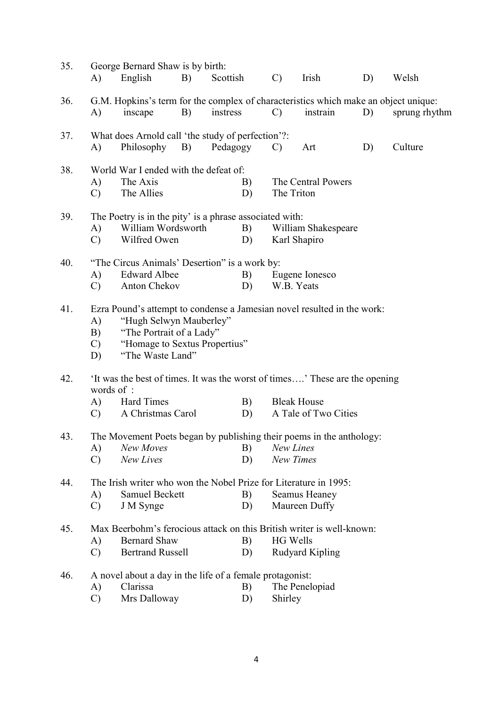| 35.                                                            |                                                                      | George Bernard Shaw is by birth:                                                         |    |          |                 |                      |    |               |  |  |  |  |  |
|----------------------------------------------------------------|----------------------------------------------------------------------|------------------------------------------------------------------------------------------|----|----------|-----------------|----------------------|----|---------------|--|--|--|--|--|
|                                                                | A)                                                                   | English                                                                                  | B) | Scottish | $\mathcal{C}$   | Irish                | D) | Welsh         |  |  |  |  |  |
| 36.                                                            |                                                                      | G.M. Hopkins's term for the complex of characteristics which make an object unique:      |    |          |                 |                      |    |               |  |  |  |  |  |
|                                                                | A)                                                                   | inscape                                                                                  | B) | instress | $\mathcal{C}$   | instrain             | D) | sprung rhythm |  |  |  |  |  |
| 37.                                                            |                                                                      | What does Arnold call 'the study of perfection'?:                                        |    |          |                 |                      |    |               |  |  |  |  |  |
|                                                                | A)                                                                   | Philosophy B)                                                                            |    | Pedagogy | $\mathcal{C}$   | Art                  | D) | Culture       |  |  |  |  |  |
| 38.                                                            |                                                                      | World War I ended with the defeat of:                                                    |    |          |                 |                      |    |               |  |  |  |  |  |
|                                                                | A)                                                                   | The Axis<br>The Central Powers<br>B)                                                     |    |          |                 |                      |    |               |  |  |  |  |  |
|                                                                | $\mathbf{C}$                                                         | The Allies                                                                               |    | D)       |                 | The Triton           |    |               |  |  |  |  |  |
| The Poetry is in the pity' is a phrase associated with:<br>39. |                                                                      |                                                                                          |    |          |                 |                      |    |               |  |  |  |  |  |
|                                                                | A)                                                                   | William Wordsworth<br>B)<br>William Shakespeare                                          |    |          |                 |                      |    |               |  |  |  |  |  |
|                                                                | $\mathcal{C}$                                                        | Wilfred Owen<br>D)<br>Karl Shapiro                                                       |    |          |                 |                      |    |               |  |  |  |  |  |
| 40.                                                            |                                                                      | "The Circus Animals' Desertion" is a work by:                                            |    |          |                 |                      |    |               |  |  |  |  |  |
|                                                                | A)                                                                   | <b>Edward Albee</b>                                                                      |    | B)       |                 | Eugene Ionesco       |    |               |  |  |  |  |  |
|                                                                | $\mathbf{C}$                                                         | Anton Chekov                                                                             |    | D)       |                 | W.B. Yeats           |    |               |  |  |  |  |  |
| 41.                                                            |                                                                      | Ezra Pound's attempt to condense a Jamesian novel resulted in the work:                  |    |          |                 |                      |    |               |  |  |  |  |  |
|                                                                | A)                                                                   | "Hugh Selwyn Mauberley"                                                                  |    |          |                 |                      |    |               |  |  |  |  |  |
|                                                                | B)                                                                   | "The Portrait of a Lady"                                                                 |    |          |                 |                      |    |               |  |  |  |  |  |
|                                                                | $\mathbf{C}$                                                         | "Homage to Sextus Propertius"                                                            |    |          |                 |                      |    |               |  |  |  |  |  |
|                                                                | D)                                                                   | "The Waste Land"                                                                         |    |          |                 |                      |    |               |  |  |  |  |  |
| 42.                                                            |                                                                      |                                                                                          |    |          |                 |                      |    |               |  |  |  |  |  |
|                                                                |                                                                      | It was the best of times. It was the worst of times' These are the opening<br>words of : |    |          |                 |                      |    |               |  |  |  |  |  |
|                                                                | A)                                                                   | <b>Hard Times</b>                                                                        |    | B)       |                 | <b>Bleak House</b>   |    |               |  |  |  |  |  |
|                                                                | $\mathcal{C}$                                                        | A Christmas Carol                                                                        |    | D)       |                 | A Tale of Two Cities |    |               |  |  |  |  |  |
| 43.                                                            | The Movement Poets began by publishing their poems in the anthology: |                                                                                          |    |          |                 |                      |    |               |  |  |  |  |  |
|                                                                | A)                                                                   | New Moves                                                                                |    | B)       | New Lines       |                      |    |               |  |  |  |  |  |
|                                                                | $\mathcal{C}$                                                        | New Lives                                                                                |    | D)       |                 | New Times            |    |               |  |  |  |  |  |
| 44.                                                            |                                                                      | The Irish writer who won the Nobel Prize for Literature in 1995:                         |    |          |                 |                      |    |               |  |  |  |  |  |
|                                                                | A)                                                                   | <b>Samuel Beckett</b>                                                                    |    | B)       |                 | Seamus Heaney        |    |               |  |  |  |  |  |
|                                                                | $\mathcal{C}$                                                        | J M Synge                                                                                |    | D)       |                 | Maureen Duffy        |    |               |  |  |  |  |  |
| 45.                                                            |                                                                      | Max Beerbohm's ferocious attack on this British writer is well-known:                    |    |          |                 |                      |    |               |  |  |  |  |  |
|                                                                | A)                                                                   | <b>Bernard Shaw</b>                                                                      |    | B)       | <b>HG Wells</b> |                      |    |               |  |  |  |  |  |
|                                                                | $\mathbf{C}$                                                         | <b>Bertrand Russell</b>                                                                  |    | D)       |                 | Rudyard Kipling      |    |               |  |  |  |  |  |
| 46.                                                            |                                                                      | A novel about a day in the life of a female protagonist:                                 |    |          |                 |                      |    |               |  |  |  |  |  |
|                                                                | A)                                                                   | Clarissa                                                                                 |    | B)       |                 | The Penelopiad       |    |               |  |  |  |  |  |
|                                                                | $\mathcal{C}$                                                        | Mrs Dalloway                                                                             |    | D)       | Shirley         |                      |    |               |  |  |  |  |  |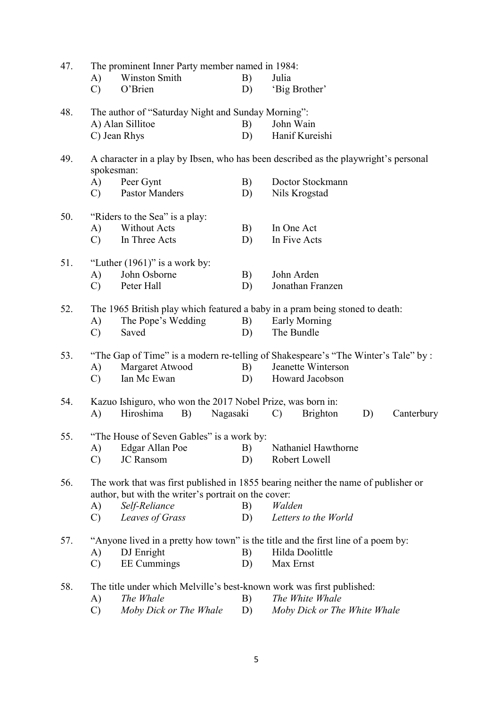| 47. |                                                                              | The prominent Inner Party member named in 1984:                                    |          |                                                                                                      |  |  |  |  |  |
|-----|------------------------------------------------------------------------------|------------------------------------------------------------------------------------|----------|------------------------------------------------------------------------------------------------------|--|--|--|--|--|
|     | A)<br>$\mathcal{C}$                                                          | <b>Winston Smith</b><br>O'Brien                                                    | B)<br>D) | Julia<br>'Big Brother'                                                                               |  |  |  |  |  |
| 48. |                                                                              | The author of "Saturday Night and Sunday Morning":                                 |          |                                                                                                      |  |  |  |  |  |
|     |                                                                              | A) Alan Sillitoe                                                                   | B)       | John Wain                                                                                            |  |  |  |  |  |
|     |                                                                              | C) Jean Rhys                                                                       | D)       | Hanif Kureishi                                                                                       |  |  |  |  |  |
| 49. | spokesman:                                                                   |                                                                                    |          | A character in a play by Ibsen, who has been described as the playwright's personal                  |  |  |  |  |  |
|     | A)                                                                           | Peer Gynt                                                                          | B)       | Doctor Stockmann                                                                                     |  |  |  |  |  |
|     | $\mathcal{C}$                                                                | <b>Pastor Manders</b>                                                              | D)       | Nils Krogstad                                                                                        |  |  |  |  |  |
| 50. | "Riders to the Sea" is a play:                                               |                                                                                    |          |                                                                                                      |  |  |  |  |  |
|     | A)                                                                           | <b>Without Acts</b>                                                                | B)       | In One Act                                                                                           |  |  |  |  |  |
|     | $\mathbf{C}$                                                                 | In Three Acts                                                                      | D)       | In Five Acts                                                                                         |  |  |  |  |  |
| 51. |                                                                              | "Luther $(1961)$ " is a work by:                                                   |          |                                                                                                      |  |  |  |  |  |
|     | A)                                                                           | John Osborne                                                                       | B)       | John Arden                                                                                           |  |  |  |  |  |
|     | $\mathcal{C}$                                                                | Peter Hall                                                                         | D)       | Jonathan Franzen                                                                                     |  |  |  |  |  |
| 52. | The 1965 British play which featured a baby in a pram being stoned to death: |                                                                                    |          |                                                                                                      |  |  |  |  |  |
|     | A)                                                                           | The Pope's Wedding                                                                 | B)       | Early Morning                                                                                        |  |  |  |  |  |
|     | $\mathcal{C}$                                                                | Saved                                                                              | D)       | The Bundle                                                                                           |  |  |  |  |  |
| 53. |                                                                              |                                                                                    |          | "The Gap of Time" is a modern re-telling of Shakespeare's "The Winter's Tale" by :                   |  |  |  |  |  |
|     | A)                                                                           | Margaret Atwood                                                                    | B)       | Jeanette Winterson                                                                                   |  |  |  |  |  |
|     | $\mathbf{C}$                                                                 | Ian Mc Ewan                                                                        | D)       | Howard Jacobson                                                                                      |  |  |  |  |  |
| 54. |                                                                              | Kazuo Ishiguro, who won the 2017 Nobel Prize, was born in:                         |          |                                                                                                      |  |  |  |  |  |
|     | A)                                                                           | Hiroshima<br>B)<br>Nagasaki                                                        |          | <b>Brighton</b><br>Canterbury<br>D)<br>$\mathcal{C}$                                                 |  |  |  |  |  |
| 55. |                                                                              | "The House of Seven Gables" is a work by:                                          |          |                                                                                                      |  |  |  |  |  |
|     | A)                                                                           | Edgar Allan Poe                                                                    | B)       | Nathaniel Hawthorne                                                                                  |  |  |  |  |  |
|     | $\mathcal{C}$                                                                | <b>JC</b> Ransom                                                                   | D)       | Robert Lowell                                                                                        |  |  |  |  |  |
| 56. |                                                                              | author, but with the writer's portrait on the cover:                               |          | The work that was first published in 1855 bearing neither the name of publisher or                   |  |  |  |  |  |
|     | A)                                                                           | Self-Reliance                                                                      | B)       | Walden                                                                                               |  |  |  |  |  |
|     | $\mathcal{C}$                                                                | Leaves of Grass                                                                    | D)       | Letters to the World                                                                                 |  |  |  |  |  |
|     |                                                                              |                                                                                    |          |                                                                                                      |  |  |  |  |  |
| 57. | A)                                                                           | DJ Enright                                                                         | B)       | "Anyone lived in a pretty how town" is the title and the first line of a poem by:<br>Hilda Doolittle |  |  |  |  |  |
|     | $\mathcal{C}$                                                                | <b>EE</b> Cummings                                                                 | D)       | Max Ernst                                                                                            |  |  |  |  |  |
|     |                                                                              |                                                                                    |          |                                                                                                      |  |  |  |  |  |
| 58. | A)                                                                           | The title under which Melville's best-known work was first published:<br>The Whale | B)       | The White Whale                                                                                      |  |  |  |  |  |
|     | $\mathcal{C}$                                                                | Moby Dick or The Whale                                                             | D)       | Moby Dick or The White Whale                                                                         |  |  |  |  |  |
|     |                                                                              |                                                                                    |          |                                                                                                      |  |  |  |  |  |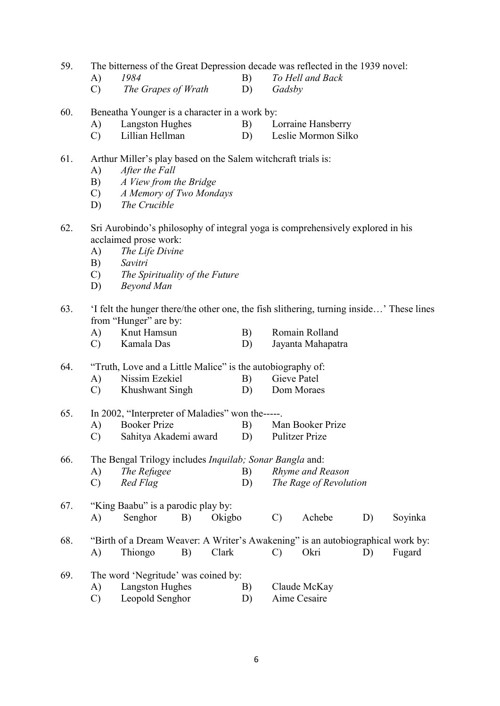59. The bitterness of the Great Depression decade was reflected in the 1939 novel:

- A) 1984 B) To Hell and Back
- C) The Grapes of Wrath D) Gadsby
- 60. Beneatha Younger is a character in a work by:
	- A) Langston Hughes B) Lorraine Hansberry
	- C) Lillian Hellman D) Leslie Mormon Silko

#### 61. Arthur Miller's play based on the Salem witchcraft trials is:

- A) After the Fall
- B) A View from the Bridge
- C) A Memory of Two Mondays
- D) The Crucible
- 62. Sri Aurobindo's philosophy of integral yoga is comprehensively explored in his acclaimed prose work:
	- A) The Life Divine
	- B) Savitri
	- C) The Spirituality of the Future
	- D) Beyond Man
- 63. 'I felt the hunger there/the other one, the fish slithering, turning inside…' These lines from "Hunger" are by:
	- A) Knut Hamsun B) Romain Rolland
	- C) Kamala Das D) Jayanta Mahapatra

#### 64. "Truth, Love and a Little Malice" is the autobiography of:

- A) Nissim Ezekiel B) Gieve Patel
	- C) Khushwant Singh D) Dom Moraes

## 65. In 2002, "Interpreter of Maladies" won the-----.

- A) Booker Prize B) Man Booker Prize
- C) Sahitya Akademi award D) Pulitzer Prize

66. The Bengal Trilogy includes Inquilab; Sonar Bangla and:

- A) The Refugee B) Rhyme and Reason
- C) Red Flag D) The Rage of Revolution

### 67. "King Baabu" is a parodic play by: A) Senghor B) Okigbo C) Achebe D) Soyinka

68. "Birth of a Dream Weaver: A Writer's Awakening" is an autobiographical work by: A) Thiongo B) Clark C) Okri D) Fugard

- 69. The word 'Negritude' was coined by:
	- A) Langston Hughes B) Claude McKay
		- C) Leopold Senghor D) Aime Cesaire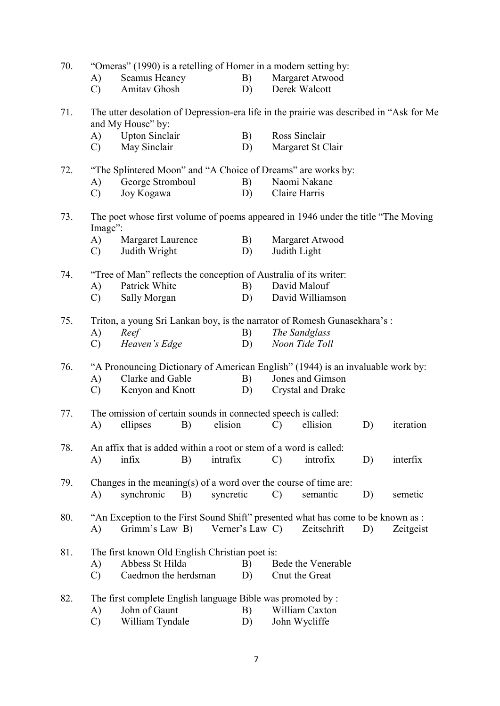| 70. |               | "Omeras" (1990) is a retelling of Homer in a modern setting by:                                              |    |           |                 |               |                          |    |           |
|-----|---------------|--------------------------------------------------------------------------------------------------------------|----|-----------|-----------------|---------------|--------------------------|----|-----------|
|     | A)            | <b>Seamus Heaney</b>                                                                                         |    |           | B)              |               | Margaret Atwood          |    |           |
|     | $\mathcal{C}$ | Amitav Ghosh                                                                                                 |    |           | D)              |               | Derek Walcott            |    |           |
| 71. |               | The utter desolation of Depression-era life in the prairie was described in "Ask for Me<br>and My House" by: |    |           |                 |               |                          |    |           |
|     | (A)           | <b>Upton Sinclair</b>                                                                                        |    |           | B)              | Ross Sinclair |                          |    |           |
|     | $\mathcal{C}$ | May Sinclair                                                                                                 |    |           | D)              |               | Margaret St Clair        |    |           |
| 72. |               | "The Splintered Moon" and "A Choice of Dreams" are works by:                                                 |    |           |                 |               |                          |    |           |
|     | A)            | George Stromboul                                                                                             |    |           | B)              |               | Naomi Nakane             |    |           |
|     | $\mathcal{C}$ | Joy Kogawa                                                                                                   |    |           | D)              | Claire Harris |                          |    |           |
| 73. | Image":       | The poet whose first volume of poems appeared in 1946 under the title "The Moving"                           |    |           |                 |               |                          |    |           |
|     | A)            | Margaret Laurence                                                                                            |    |           | B)              |               | Margaret Atwood          |    |           |
|     | $\mathcal{C}$ | Judith Wright                                                                                                |    |           | D)              | Judith Light  |                          |    |           |
| 74. |               | "Tree of Man" reflects the conception of Australia of its writer:<br>David Malouf                            |    |           |                 |               |                          |    |           |
|     | A)            | Patrick White                                                                                                |    |           | B)              |               |                          |    |           |
|     | $\mathbf{C}$  | Sally Morgan                                                                                                 |    |           | D)              |               | David Williamson         |    |           |
| 75. |               | Triton, a young Sri Lankan boy, is the narrator of Romesh Gunasekhara's:<br>Reef                             |    |           |                 |               | The Sandglass            |    |           |
|     | A)            |                                                                                                              |    |           | B)              |               | Noon Tide Toll           |    |           |
|     | $\mathcal{C}$ | Heaven's Edge                                                                                                |    |           | D)              |               |                          |    |           |
| 76. |               | "A Pronouncing Dictionary of American English" (1944) is an invaluable work by:                              |    |           |                 |               |                          |    |           |
|     | A)            | Clarke and Gable                                                                                             |    |           | B)              |               | Jones and Gimson         |    |           |
|     | $\mathcal{C}$ | Kenyon and Knott                                                                                             |    |           | D)              |               | <b>Crystal and Drake</b> |    |           |
| 77. |               | The omission of certain sounds in connected speech is called:                                                |    |           |                 |               |                          |    |           |
|     | A)            | ellipses                                                                                                     | B) | elision   |                 | C)            | ellision                 | D) | iteration |
|     |               |                                                                                                              |    |           |                 |               |                          |    |           |
| 78. |               | An affix that is added within a root or stem of a word is called:                                            |    |           |                 |               |                          |    |           |
|     | A)            | infix                                                                                                        | B) | intrafix  |                 | $\mathcal{C}$ | introfix                 | D) | interfix  |
| 79. |               | Changes in the meaning(s) of a word over the course of time are:                                             |    |           |                 |               |                          |    |           |
|     | $\bf{A}$      | synchronic                                                                                                   | B) | syncretic |                 | $\mathcal{C}$ | semantic                 | D) | semetic   |
|     |               |                                                                                                              |    |           |                 |               |                          |    |           |
| 80. | $\bf{A}$      | "An Exception to the First Sound Shift" presented what has come to be known as :<br>Grimm's Law B)           |    |           | Verner's Law C) |               | Zeitschrift              | D) | Zeitgeist |
|     |               |                                                                                                              |    |           |                 |               |                          |    |           |
| 81. |               | The first known Old English Christian poet is:                                                               |    |           |                 |               |                          |    |           |
|     | A)            | Abbess St Hilda                                                                                              |    |           | B)              |               | Bede the Venerable       |    |           |
|     | $\mathbf{C}$  | Caedmon the herdsman                                                                                         |    |           | D)              |               | Cnut the Great           |    |           |
| 82. |               | The first complete English language Bible was promoted by :                                                  |    |           |                 |               |                          |    |           |
|     | A)            | John of Gaunt                                                                                                |    |           | B)              |               | William Caxton           |    |           |
|     | $\mathcal{C}$ | William Tyndale                                                                                              |    |           | D)              |               | John Wycliffe            |    |           |
|     |               |                                                                                                              |    |           |                 |               |                          |    |           |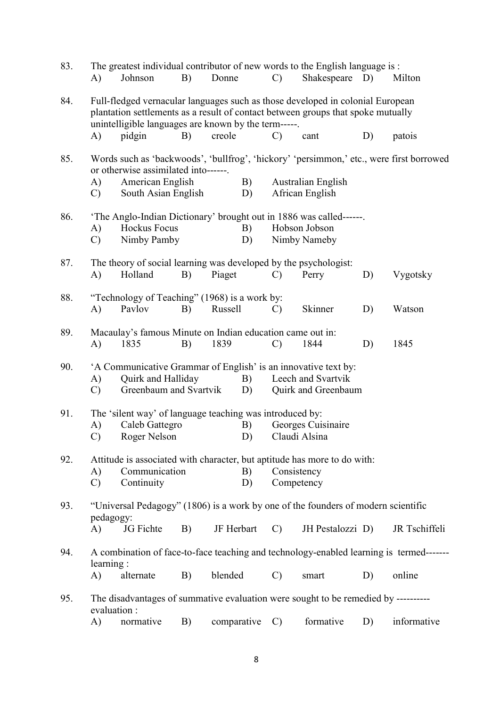| 83. | A)                  | The greatest individual contributor of new words to the English language is :<br>Johnson                                                                                                                                   | B) | Donne       |          | $\mathcal{C}$             | Shakespeare D)                            |    | Milton                                                                                  |
|-----|---------------------|----------------------------------------------------------------------------------------------------------------------------------------------------------------------------------------------------------------------------|----|-------------|----------|---------------------------|-------------------------------------------|----|-----------------------------------------------------------------------------------------|
| 84. |                     | Full-fledged vernacular languages such as those developed in colonial European<br>plantation settlements as a result of contact between groups that spoke mutually<br>unintelligible languages are known by the term-----. |    |             |          |                           |                                           |    |                                                                                         |
|     | A)                  | pidgin                                                                                                                                                                                                                     | B) | creole      |          | $\mathcal{C}$             | cant                                      | D) | patois                                                                                  |
| 85. |                     | or otherwise assimilated into------.                                                                                                                                                                                       |    |             |          |                           |                                           |    | Words such as 'backwoods', 'bullfrog', 'hickory' 'persimmon,' etc., were first borrowed |
|     | A)<br>$\mathbf{C}$  | American English<br>South Asian English                                                                                                                                                                                    |    |             | B)<br>D) |                           | Australian English<br>African English     |    |                                                                                         |
| 86. |                     | 'The Anglo-Indian Dictionary' brought out in 1886 was called------.                                                                                                                                                        |    |             |          |                           |                                           |    |                                                                                         |
|     | A)<br>$\mathcal{C}$ | <b>Hockus Focus</b><br>Nimby Pamby                                                                                                                                                                                         |    |             | B)<br>D) |                           | Hobson Jobson<br>Nimby Nameby             |    |                                                                                         |
| 87. |                     | The theory of social learning was developed by the psychologist:                                                                                                                                                           |    |             |          |                           |                                           |    |                                                                                         |
|     | A)                  | Holland                                                                                                                                                                                                                    | B) | Piaget      |          | $\mathcal{C}$             | Perry                                     | D) | Vygotsky                                                                                |
| 88. | A)                  | "Technology of Teaching" (1968) is a work by:<br>Pavlov                                                                                                                                                                    | B) | Russell     |          | $\mathcal{C}$             | Skinner                                   | D) | Watson                                                                                  |
| 89. | A)                  | Macaulay's famous Minute on Indian education came out in:<br>1835                                                                                                                                                          | B) | 1839        |          | $\mathcal{C}$             | 1844                                      | D) | 1845                                                                                    |
| 90. | A)<br>$\mathcal{C}$ | 'A Communicative Grammar of English' is an innovative text by:<br>Quirk and Halliday<br>Greenbaum and Svartvik                                                                                                             |    |             | B)<br>D) |                           | Leech and Svartvik<br>Quirk and Greenbaum |    |                                                                                         |
| 91. | A)                  | The 'silent way' of language teaching was introduced by:<br>Caleb Gattegro                                                                                                                                                 |    |             | B)       |                           | Georges Cuisinaire                        |    |                                                                                         |
|     | $\mathcal{C}$       | Roger Nelson                                                                                                                                                                                                               |    |             | D)       | Claudi Alsina             |                                           |    |                                                                                         |
| 92. | A)<br>$\mathcal{C}$ | Attitude is associated with character, but aptitude has more to do with:<br>Communication<br>Continuity                                                                                                                    |    |             | B)<br>D) | Consistency<br>Competency |                                           |    |                                                                                         |
| 93. | pedagogy:           | "Universal Pedagogy" (1806) is a work by one of the founders of modern scientific                                                                                                                                          |    |             |          |                           |                                           |    |                                                                                         |
|     | A)                  | JG Fichte                                                                                                                                                                                                                  | B) | JF Herbart  |          | $\mathcal{C}$             | JH Pestalozzi D)                          |    | JR Tschiffeli                                                                           |
| 94. | learning:           | A combination of face-to-face teaching and technology-enabled learning is termed-------                                                                                                                                    |    |             |          |                           |                                           |    |                                                                                         |
|     | A)                  | alternate                                                                                                                                                                                                                  | B) | blended     |          | $\mathcal{C}$             | smart                                     | D) | online                                                                                  |
| 95. | evaluation :        | The disadvantages of summative evaluation were sought to be remedied by ---------                                                                                                                                          |    |             |          |                           |                                           |    |                                                                                         |
|     | A)                  | normative                                                                                                                                                                                                                  | B) | comparative |          | $\mathcal{C}$             | formative                                 | D) | informative                                                                             |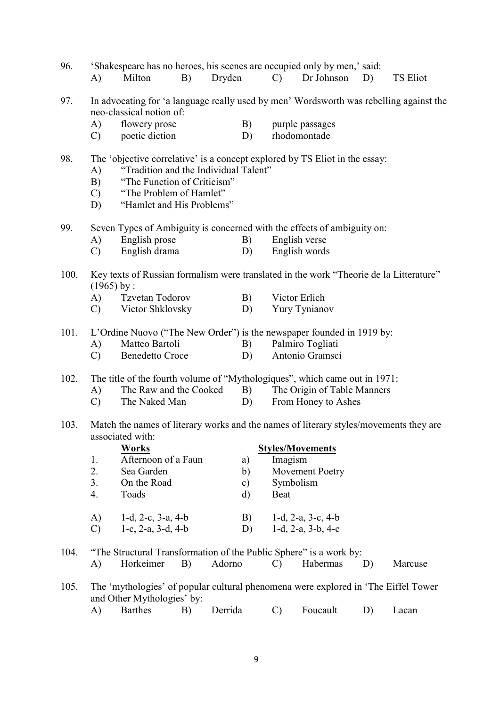| 96.                                                                                                             | A)                                                                                                        | Milton                                                                                                                                                                                                      | B) | Dryden  |    | $\mathbf{C}$                                                                           | 'Shakespeare has no heroes, his scenes are occupied only by men,' said:<br>Dr Johnson | D) | <b>TS Eliot</b> |  |  |  |
|-----------------------------------------------------------------------------------------------------------------|-----------------------------------------------------------------------------------------------------------|-------------------------------------------------------------------------------------------------------------------------------------------------------------------------------------------------------------|----|---------|----|----------------------------------------------------------------------------------------|---------------------------------------------------------------------------------------|----|-----------------|--|--|--|
| 97.                                                                                                             |                                                                                                           | neo-classical notion of:                                                                                                                                                                                    |    |         |    | In advocating for 'a language really used by men' Wordsworth was rebelling against the |                                                                                       |    |                 |  |  |  |
|                                                                                                                 | A)                                                                                                        | flowery prose                                                                                                                                                                                               |    |         | B) |                                                                                        | purple passages                                                                       |    |                 |  |  |  |
|                                                                                                                 | C)                                                                                                        | poetic diction                                                                                                                                                                                              |    |         | D) |                                                                                        | rhodomontade                                                                          |    |                 |  |  |  |
| 98.                                                                                                             | A)<br>B)<br>$\mathcal{C}$<br>D)                                                                           | The 'objective correlative' is a concept explored by TS Eliot in the essay:<br>"Tradition and the Individual Talent"<br>"The Function of Criticism"<br>"The Problem of Hamlet"<br>"Hamlet and His Problems" |    |         |    |                                                                                        |                                                                                       |    |                 |  |  |  |
| 99.                                                                                                             | Seven Types of Ambiguity is concerned with the effects of ambiguity on:                                   |                                                                                                                                                                                                             |    |         |    |                                                                                        |                                                                                       |    |                 |  |  |  |
|                                                                                                                 | A)                                                                                                        | English prose                                                                                                                                                                                               |    |         | B) |                                                                                        | English verse                                                                         |    |                 |  |  |  |
|                                                                                                                 | C)                                                                                                        | English drama                                                                                                                                                                                               |    |         | D) |                                                                                        | English words                                                                         |    |                 |  |  |  |
| 100.<br>Key texts of Russian formalism were translated in the work "Theorie de la Litterature"<br>$(1965)$ by : |                                                                                                           |                                                                                                                                                                                                             |    |         |    |                                                                                        |                                                                                       |    |                 |  |  |  |
|                                                                                                                 | A)                                                                                                        | Tzvetan Todorov                                                                                                                                                                                             |    |         |    | Victor Erlich                                                                          |                                                                                       |    |                 |  |  |  |
|                                                                                                                 | $\mathcal{C}$                                                                                             | Victor Shklovsky                                                                                                                                                                                            |    |         | D) |                                                                                        | Yury Tynianov                                                                         |    |                 |  |  |  |
| 101.                                                                                                            | L'Ordine Nuovo ("The New Order") is the newspaper founded in 1919 by:                                     |                                                                                                                                                                                                             |    |         |    |                                                                                        |                                                                                       |    |                 |  |  |  |
|                                                                                                                 | A)                                                                                                        | Matteo Bartoli                                                                                                                                                                                              |    |         | B) |                                                                                        | Palmiro Togliati                                                                      |    |                 |  |  |  |
|                                                                                                                 | $\mathcal{C}$                                                                                             | <b>Benedetto Croce</b>                                                                                                                                                                                      |    |         | D) |                                                                                        | Antonio Gramsci                                                                       |    |                 |  |  |  |
| 102.                                                                                                            | The title of the fourth volume of "Mythologiques", which came out in 1971:                                |                                                                                                                                                                                                             |    |         |    |                                                                                        |                                                                                       |    |                 |  |  |  |
|                                                                                                                 | A)                                                                                                        | The Raw and the Cooked                                                                                                                                                                                      |    |         | B) | The Origin of Table Manners                                                            |                                                                                       |    |                 |  |  |  |
|                                                                                                                 | $\mathcal{C}$                                                                                             | The Naked Man                                                                                                                                                                                               |    |         | D) |                                                                                        | From Honey to Ashes                                                                   |    |                 |  |  |  |
| 103.                                                                                                            | Match the names of literary works and the names of literary styles/movements they are<br>associated with: |                                                                                                                                                                                                             |    |         |    |                                                                                        |                                                                                       |    |                 |  |  |  |
|                                                                                                                 |                                                                                                           | <b>Works</b>                                                                                                                                                                                                |    |         |    |                                                                                        | <b>Styles/Movements</b>                                                               |    |                 |  |  |  |
|                                                                                                                 | 1.                                                                                                        | Afternoon of a Faun                                                                                                                                                                                         |    |         | a) | Imagism                                                                                |                                                                                       |    |                 |  |  |  |
|                                                                                                                 | 2.                                                                                                        | Sea Garden                                                                                                                                                                                                  |    |         | b) |                                                                                        | <b>Movement Poetry</b>                                                                |    |                 |  |  |  |
|                                                                                                                 | 3.                                                                                                        | On the Road                                                                                                                                                                                                 |    |         | c) | Symbolism                                                                              |                                                                                       |    |                 |  |  |  |
|                                                                                                                 | 4.                                                                                                        | Toads                                                                                                                                                                                                       |    |         | d) | Beat                                                                                   |                                                                                       |    |                 |  |  |  |
|                                                                                                                 | A)                                                                                                        | $1-d$ , $2-c$ , $3-a$ , $4-b$                                                                                                                                                                               |    |         | B) |                                                                                        | $1-d$ , $2-a$ , $3-c$ , $4-b$                                                         |    |                 |  |  |  |
|                                                                                                                 | $\mathcal{C}$                                                                                             | 1-c, 2-a, 3-d, 4-b                                                                                                                                                                                          |    |         | D) |                                                                                        | 1-d, 2-a, 3-b, 4-c                                                                    |    |                 |  |  |  |
| 104.                                                                                                            | A)                                                                                                        | Horkeimer                                                                                                                                                                                                   | B) | Adorno  |    | $\mathcal{C}$                                                                          | "The Structural Transformation of the Public Sphere" is a work by:<br>Habermas        | D) | Marcuse         |  |  |  |
|                                                                                                                 |                                                                                                           |                                                                                                                                                                                                             |    |         |    |                                                                                        |                                                                                       |    |                 |  |  |  |
| 105.                                                                                                            |                                                                                                           | and Other Mythologies' by:                                                                                                                                                                                  |    |         |    |                                                                                        | The 'mythologies' of popular cultural phenomena were explored in 'The Eiffel Tower    |    |                 |  |  |  |
|                                                                                                                 | A)                                                                                                        | <b>Barthes</b>                                                                                                                                                                                              | B) | Derrida |    | $\mathcal{C}$                                                                          | Foucault                                                                              | D) | Lacan           |  |  |  |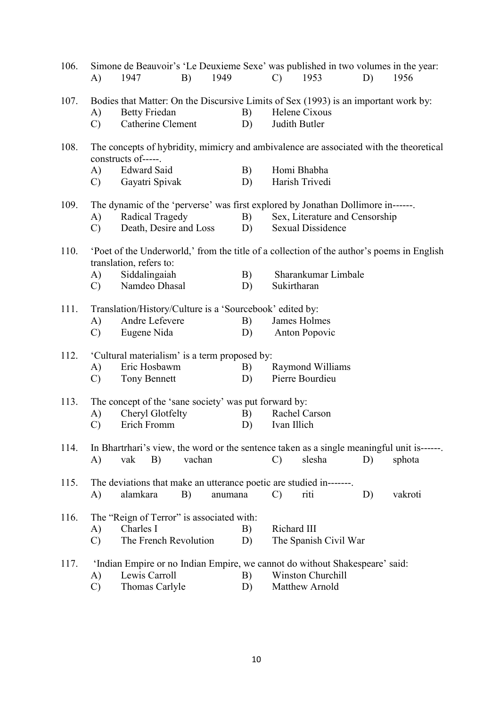| 106. | A)              | Simone de Beauvoir's 'Le Deuxieme Sexe' was published in two volumes in the year:<br>1947                            | B)     | 1949    |    | $\mathcal{C}$ | 1953                           | D) | 1956    |  |
|------|-----------------|----------------------------------------------------------------------------------------------------------------------|--------|---------|----|---------------|--------------------------------|----|---------|--|
| 107. |                 | Bodies that Matter: On the Discursive Limits of Sex (1993) is an important work by:                                  |        |         |    |               |                                |    |         |  |
|      | A)              | <b>Betty Friedan</b>                                                                                                 |        |         | B) |               | Helene Cixous                  |    |         |  |
|      | $\mathcal{C}$   | Catherine Clement                                                                                                    |        |         | D) |               | Judith Butler                  |    |         |  |
|      |                 |                                                                                                                      |        |         |    |               |                                |    |         |  |
| 108. |                 | The concepts of hybridity, mimicry and ambivalence are associated with the theoretical<br>constructs of-----.        |        |         |    |               |                                |    |         |  |
|      | A)              | <b>Edward Said</b>                                                                                                   |        |         | B) |               | Homi Bhabha                    |    |         |  |
|      | $\mathcal{C}$ ) | Gayatri Spivak                                                                                                       |        |         | D) |               | Harish Trivedi                 |    |         |  |
|      |                 |                                                                                                                      |        |         |    |               |                                |    |         |  |
| 109. |                 | The dynamic of the 'perverse' was first explored by Jonathan Dollimore in------.                                     |        |         |    |               |                                |    |         |  |
|      | A)              | Radical Tragedy                                                                                                      |        |         | B) |               | Sex, Literature and Censorship |    |         |  |
|      | $\mathcal{C}$   | Death, Desire and Loss                                                                                               |        |         | D) |               | <b>Sexual Dissidence</b>       |    |         |  |
|      |                 |                                                                                                                      |        |         |    |               |                                |    |         |  |
| 110. |                 | 'Poet of the Underworld,' from the title of a collection of the author's poems in English<br>translation, refers to: |        |         |    |               |                                |    |         |  |
|      | A)              | Siddalingaiah                                                                                                        |        |         | B) |               | Sharankumar Limbale            |    |         |  |
|      | C)              | Namdeo Dhasal                                                                                                        |        |         | D) | Sukirtharan   |                                |    |         |  |
|      |                 |                                                                                                                      |        |         |    |               |                                |    |         |  |
| 111. |                 | Translation/History/Culture is a 'Sourcebook' edited by:                                                             |        |         |    |               |                                |    |         |  |
|      | A)              | Andre Lefevere                                                                                                       |        |         | B) |               | James Holmes                   |    |         |  |
|      | $\mathcal{C}$   | Eugene Nida                                                                                                          |        |         | D) |               | Anton Popovic                  |    |         |  |
|      |                 |                                                                                                                      |        |         |    |               |                                |    |         |  |
| 112. |                 | 'Cultural materialism' is a term proposed by:                                                                        |        |         |    |               |                                |    |         |  |
|      | A)              | Eric Hosbawm                                                                                                         |        |         | B) |               | Raymond Williams               |    |         |  |
|      | $\mathcal{C}$   | Tony Bennett                                                                                                         |        |         | D) |               | Pierre Bourdieu                |    |         |  |
| 113. |                 | The concept of the 'sane society' was put forward by:                                                                |        |         |    |               |                                |    |         |  |
|      | A)              | Cheryl Glotfelty                                                                                                     |        |         | B) |               | Rachel Carson                  |    |         |  |
|      | $\mathcal{C}$   | Erich Fromm                                                                                                          |        |         | D) | Ivan Illich   |                                |    |         |  |
|      |                 |                                                                                                                      |        |         |    |               |                                |    |         |  |
| 114. |                 | In Bhartrhari's view, the word or the sentence taken as a single meaningful unit is-------                           |        |         |    |               |                                |    |         |  |
|      | A)              | vak<br>B)                                                                                                            | vachan |         |    | $\mathcal{C}$ | slesha                         | D) | sphota  |  |
|      |                 |                                                                                                                      |        |         |    |               |                                |    |         |  |
| 115. |                 | The deviations that make an utterance poetic are studied in-------                                                   |        |         |    |               |                                |    |         |  |
|      | A)              | alamkara                                                                                                             | B)     | anumana |    | $\mathcal{C}$ | riti                           | D) | vakroti |  |
|      |                 |                                                                                                                      |        |         |    |               |                                |    |         |  |
| 116. |                 | The "Reign of Terror" is associated with:                                                                            |        |         |    |               |                                |    |         |  |
|      | A)              | Charles I                                                                                                            |        |         | B) | Richard III   |                                |    |         |  |
|      |                 | The French Revolution                                                                                                |        |         |    |               |                                |    |         |  |
|      | $\mathcal{C}$   |                                                                                                                      |        |         | D) |               | The Spanish Civil War          |    |         |  |
|      |                 |                                                                                                                      |        |         |    |               |                                |    |         |  |
| 117. |                 | 'Indian Empire or no Indian Empire, we cannot do without Shakespeare' said:<br>Lewis Carroll                         |        |         |    |               | Winston Churchill              |    |         |  |
|      | A)              |                                                                                                                      |        |         | B) |               |                                |    |         |  |
|      | $\mathcal{C}$   | Thomas Carlyle                                                                                                       |        |         | D) |               | Matthew Arnold                 |    |         |  |